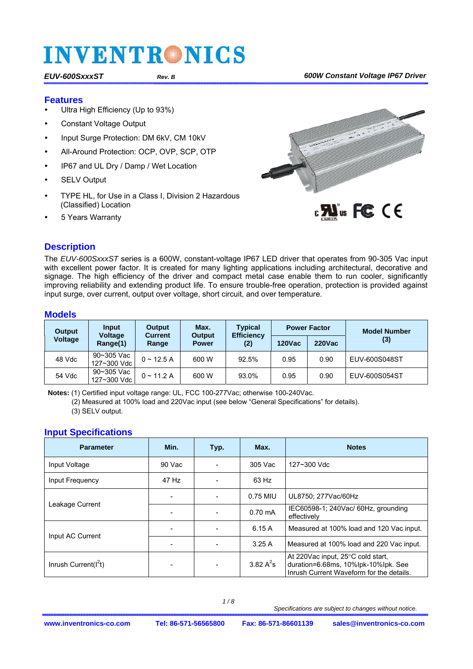#### **Features**

- Ultra High Efficiency (Up to 93%)
- Constant Voltage Output
- Input Surge Protection: DM 6kV, CM 10kV
- All-Around Protection: OCP, OVP, SCP, OTP
- IP67 and UL Dry / Damp / Wet Location
- SELV Output
- TYPE HL, for Use in a Class I, Division 2 Hazardous (Classified) Location
- 5 Years Warranty



#### **Description**

The *EUV-600SxxxST* series is a 600W, constant-voltage IP67 LED driver that operates from 90-305 Vac input with excellent power factor. It is created for many lighting applications including architectural, decorative and signage. The high efficiency of the driver and compact metal case enable them to run cooler, significantly improving reliability and extending product life. To ensure trouble-free operation, protection is provided against input surge, over current, output over voltage, short circuit, and over temperature.

#### **Models**

| <b>Output</b>  | Input<br>Output            |                         | Max.                   | <b>Typical</b>           |               | <b>Power Factor</b> | <b>Model Number</b> |
|----------------|----------------------------|-------------------------|------------------------|--------------------------|---------------|---------------------|---------------------|
| <b>Voltage</b> | <b>Voltage</b><br>Range(1) | <b>Current</b><br>Range | Output<br><b>Power</b> | <b>Efficiency</b><br>(2) | <b>120Vac</b> | <b>220Vac</b>       | (3)                 |
| 48 Vdc         | 90~305 Vac<br>127~300 Vdc  | $0 \sim 12.5 A$         | 600 W                  | 92.5%                    | 0.95          | 0.90                | EUV-600S048ST       |
| 54 Vdc         | 90~305 Vac<br>127~300 Vdc  | $0 \sim 11.2$ A         | 600 W                  | 93.0%                    | 0.95          | 0.90                | EUV-600S054ST       |

**Notes:** (1) Certified input voltage range: UL, FCC 100-277Vac; otherwise 100-240Vac.

(2) Measured at 100% load and 220Vac input (see below "General Specifications" for details). (3) SELV output.

### **Input Specifications**

| <b>Parameter</b>                                  | Min.  | Typ.                            | Max.              | <b>Notes</b>                                                                                                         |
|---------------------------------------------------|-------|---------------------------------|-------------------|----------------------------------------------------------------------------------------------------------------------|
| 90 Vac<br>305 Vac<br>127~300 Vdc<br>Input Voltage |       |                                 |                   |                                                                                                                      |
| Input Frequency                                   | 47 Hz |                                 | 63 Hz             |                                                                                                                      |
|                                                   |       | 0.75 MIU<br>UL8750: 277Vac/60Hz |                   |                                                                                                                      |
| Leakage Current                                   |       |                                 | $0.70 \text{ mA}$ | IEC60598-1; 240Vac/ 60Hz, grounding<br>effectively                                                                   |
| Input AC Current                                  |       | 6.15A                           |                   | Measured at 100% load and 120 Vac input.                                                                             |
|                                                   |       |                                 | 3.25A             | Measured at 100% load and 220 Vac input.                                                                             |
| Inrush Current( $I^2t$ )                          |       |                                 | 3.82 $A^2$ s      | At 220Vac input, 25°C cold start,<br>duration=6.68ms, 10%lpk-10%lpk. See<br>Inrush Current Waveform for the details. |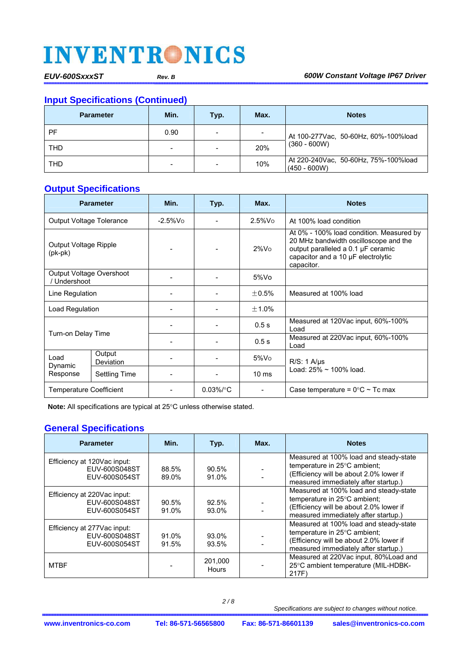#### **Input Specifications (Continued)**

| <b>Parameter</b> | Min. | Typ. | Max. | <b>Notes</b>                                           |
|------------------|------|------|------|--------------------------------------------------------|
| PF               | 0.90 |      | -    | At 100-277 Vac, 50-60Hz, 60%-100% load                 |
| <b>THD</b>       | -    |      | 20%  | $(360 - 600W)$                                         |
| <b>THD</b>       | -    |      | 10%  | At 220-240Vac, 50-60Hz, 75%-100%load<br>$(450 - 600W)$ |

#### **Output Specifications**

| <b>Parameter</b>                         |                            | Min.        | Typ.         | Max.            | <b>Notes</b>                                                                                                                                                                |
|------------------------------------------|----------------------------|-------------|--------------|-----------------|-----------------------------------------------------------------------------------------------------------------------------------------------------------------------------|
| <b>Output Voltage Tolerance</b>          |                            | $-2.5\%$ Vo |              | $2.5\%$ Vo      | At 100% load condition                                                                                                                                                      |
| Output Voltage Ripple<br>$(pk-pk)$       |                            |             |              | $2\%$ Vo        | At 0% - 100% load condition. Measured by<br>20 MHz bandwidth oscilloscope and the<br>output paralleled a 0.1 µF ceramic<br>capacitor and a 10 µF electrolytic<br>capacitor. |
| Output Voltage Overshoot<br>/ Undershoot |                            |             |              | $5\%$ Vo        |                                                                                                                                                                             |
| Line Regulation                          |                            |             |              | $+0.5%$         | Measured at 100% load                                                                                                                                                       |
| Load Regulation                          |                            |             |              | $+1.0%$         |                                                                                                                                                                             |
|                                          |                            |             |              | 0.5s            | Measured at 120Vac input, 60%-100%<br>I oad                                                                                                                                 |
| Turn-on Delay Time                       |                            |             |              | 0.5s            | Measured at 220Vac input, 60%-100%<br>Load                                                                                                                                  |
| Load                                     | Output<br><b>Deviation</b> |             |              | $5\%$ Vo        | $R/S: 1$ $A/\mu s$                                                                                                                                                          |
| Dynamic<br>Response                      | <b>Settling Time</b>       |             |              | $10 \text{ ms}$ | Load: 25% ~ 100% load.                                                                                                                                                      |
| <b>Temperature Coefficient</b>           |                            |             | $0.03\%$ /°C |                 | Case temperature = $0^{\circ}$ C ~ Tc max                                                                                                                                   |

**Note:** All specifications are typical at 25°C unless otherwise stated.

#### **General Specifications**

| <b>Parameter</b>                                              | Min.              | Typ.             | Max. | <b>Notes</b>                                                                                                                                              |
|---------------------------------------------------------------|-------------------|------------------|------|-----------------------------------------------------------------------------------------------------------------------------------------------------------|
| Efficiency at 120Vac input:<br>EUV-600S048ST<br>EUV-600S054ST | 88.5%<br>89.0%    | 90.5%<br>91.0%   |      | Measured at 100% load and steady-state<br>temperature in 25°C ambient:<br>(Efficiency will be about 2.0% lower if<br>measured immediately after startup.) |
| Efficiency at 220Vac input:<br>EUV-600S048ST<br>EUV-600S054ST | $90.5\%$<br>91.0% | 92.5%<br>93.0%   |      | Measured at 100% load and steady-state<br>temperature in 25°C ambient;<br>(Efficiency will be about 2.0% lower if<br>measured immediately after startup.) |
| Efficiency at 277Vac input:<br>EUV-600S048ST<br>EUV-600S054ST | 91.0%<br>91.5%    | 93.0%<br>93.5%   |      | Measured at 100% load and steady-state<br>temperature in 25°C ambient:<br>(Efficiency will be about 2.0% lower if<br>measured immediately after startup.) |
| <b>MTBF</b>                                                   |                   | 201,000<br>Hours |      | Measured at 220Vac input, 80% Load and<br>25°C ambient temperature (MIL-HDBK-<br>217F)                                                                    |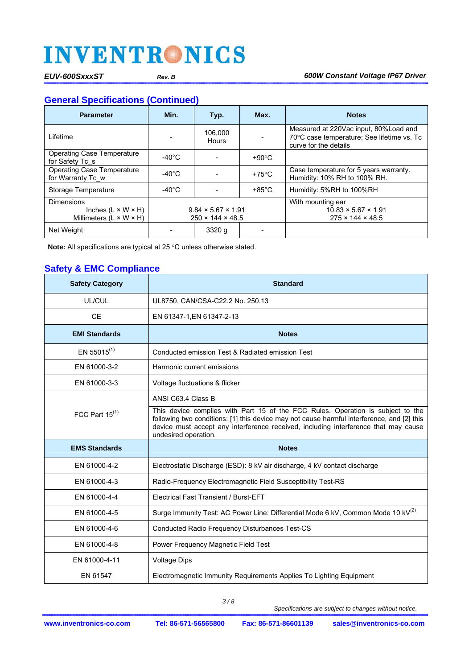#### **General Specifications (Continued)**

| <b>Parameter</b>                                                                           | Min.            | Typ.                                                           | Max.            | <b>Notes</b>                                                                                                 |
|--------------------------------------------------------------------------------------------|-----------------|----------------------------------------------------------------|-----------------|--------------------------------------------------------------------------------------------------------------|
| Lifetime                                                                                   |                 | 106.000<br>Hours                                               |                 | Measured at 220Vac input, 80%Load and<br>70°C case temperature; See lifetime vs. To<br>curve for the details |
| <b>Operating Case Temperature</b><br>for Safety Tc s                                       | -40°C           |                                                                | $+90^{\circ}$ C |                                                                                                              |
| <b>Operating Case Temperature</b><br>for Warranty Tc w                                     | $-40^{\circ}$ C |                                                                | $+75^{\circ}$ C | Case temperature for 5 years warranty.<br>Humidity: 10% RH to 100% RH.                                       |
| Storage Temperature                                                                        | -40°C           |                                                                | $+85^{\circ}$ C | Humidity: 5%RH to 100%RH                                                                                     |
| <b>Dimensions</b><br>Inches $(L \times W \times H)$<br>Millimeters $(L \times W \times H)$ |                 | $9.84 \times 5.67 \times 1.91$<br>$250 \times 144 \times 48.5$ |                 | With mounting ear<br>$10.83 \times 5.67 \times 1.91$<br>$275 \times 144 \times 48.5$                         |
| Net Weight                                                                                 |                 | 3320q                                                          |                 |                                                                                                              |

Note: All specifications are typical at 25 °C unless otherwise stated.

#### **Safety & EMC Compliance**

| <b>Safety Category</b>  | <b>Standard</b>                                                                                                                                                                                                                                                                              |
|-------------------------|----------------------------------------------------------------------------------------------------------------------------------------------------------------------------------------------------------------------------------------------------------------------------------------------|
| UL/CUL                  | UL8750, CAN/CSA-C22.2 No. 250.13                                                                                                                                                                                                                                                             |
| <b>CE</b>               | EN 61347-1, EN 61347-2-13                                                                                                                                                                                                                                                                    |
| <b>EMI Standards</b>    | <b>Notes</b>                                                                                                                                                                                                                                                                                 |
| EN 55015 <sup>(1)</sup> | Conducted emission Test & Radiated emission Test                                                                                                                                                                                                                                             |
| EN 61000-3-2            | Harmonic current emissions                                                                                                                                                                                                                                                                   |
| EN 61000-3-3            | Voltage fluctuations & flicker                                                                                                                                                                                                                                                               |
|                         | ANSI C63.4 Class B                                                                                                                                                                                                                                                                           |
| FCC Part $15^{(1)}$     | This device complies with Part 15 of the FCC Rules. Operation is subject to the<br>following two conditions: [1] this device may not cause harmful interference, and [2] this<br>device must accept any interference received, including interference that may cause<br>undesired operation. |
| <b>EMS Standards</b>    | <b>Notes</b>                                                                                                                                                                                                                                                                                 |
| EN 61000-4-2            | Electrostatic Discharge (ESD): 8 kV air discharge, 4 kV contact discharge                                                                                                                                                                                                                    |
| EN 61000-4-3            | Radio-Frequency Electromagnetic Field Susceptibility Test-RS                                                                                                                                                                                                                                 |
| EN 61000-4-4            | <b>Electrical Fast Transient / Burst-EFT</b>                                                                                                                                                                                                                                                 |
| EN 61000-4-5            | Surge Immunity Test: AC Power Line: Differential Mode 6 kV, Common Mode 10 kV <sup>(2)</sup>                                                                                                                                                                                                 |
| EN 61000-4-6            | Conducted Radio Frequency Disturbances Test-CS                                                                                                                                                                                                                                               |
| EN 61000-4-8            | Power Frequency Magnetic Field Test                                                                                                                                                                                                                                                          |
| EN 61000-4-11           | <b>Voltage Dips</b>                                                                                                                                                                                                                                                                          |
| EN 61547                | Electromagnetic Immunity Requirements Applies To Lighting Equipment                                                                                                                                                                                                                          |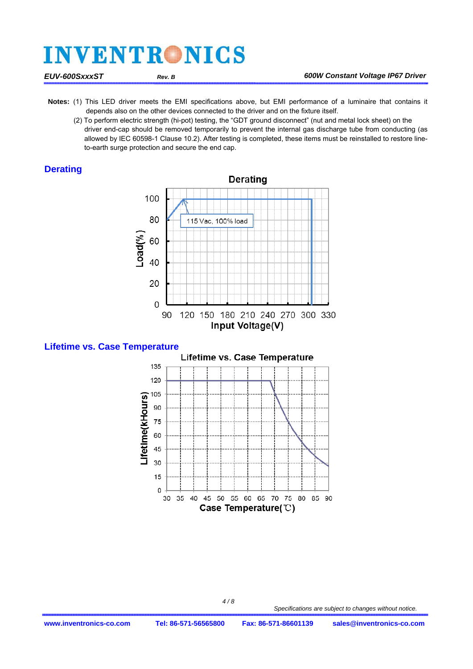- **Notes:** (1) This LED driver meets the EMI specifications above, but EMI performance of a luminaire that contains it depends also on the other devices connected to the driver and on the fixture itself.
	- (2) To perform electric strength (hi-pot) testing, the "GDT ground disconnect" (nut and metal lock sheet) on the driver end-cap should be removed temporarily to prevent the internal gas discharge tube from conducting (as allowed by IEC 60598-1 Clause 10.2). After testing is completed, these items must be reinstalled to restore lineto-earth surge protection and secure the end cap.

#### **Derating**







 *4 / 8*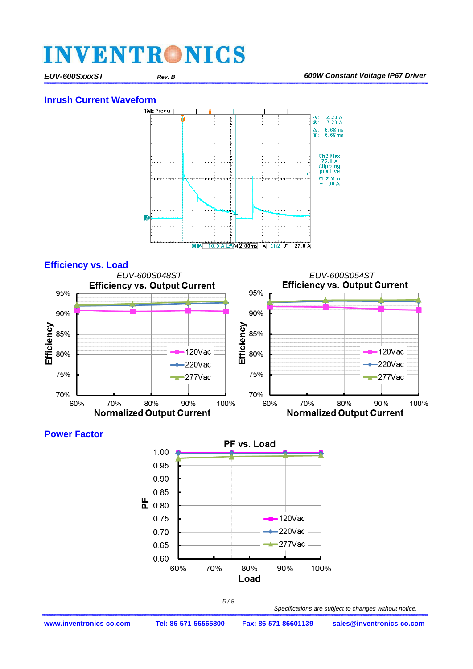#### **Inrush Current Waveform**





#### **Power Factor**

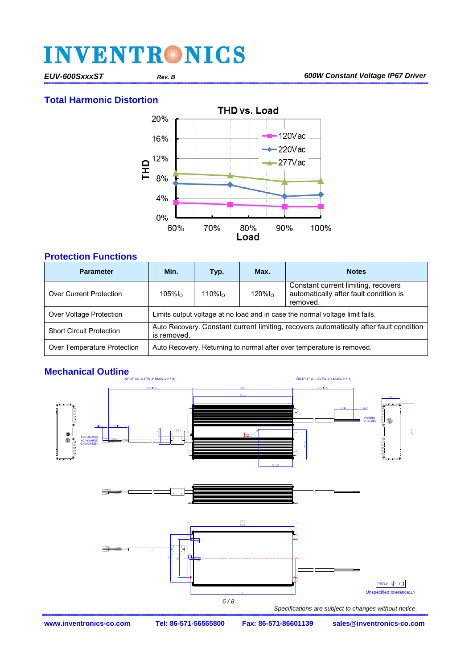#### **Total Harmonic Distortion**



#### **Protection Functions**

| <b>Parameter</b>                | Min.                                                                                                  | Typ.       | Max.       | <b>Notes</b>                                                                              |  |
|---------------------------------|-------------------------------------------------------------------------------------------------------|------------|------------|-------------------------------------------------------------------------------------------|--|
| <b>Over Current Protection</b>  | $105\%$ lo                                                                                            | $110\%$ lo | $120\%$ lo | Constant current limiting, recovers<br>automatically after fault condition is<br>removed. |  |
| Over Voltage Protection         | Limits output voltage at no load and in case the normal voltage limit fails.                          |            |            |                                                                                           |  |
| <b>Short Circuit Protection</b> | Auto Recovery. Constant current limiting, recovers automatically after fault condition<br>is removed. |            |            |                                                                                           |  |
| Over Temperature Protection     | Auto Recovery. Returning to normal after over temperature is removed.                                 |            |            |                                                                                           |  |

### **Mechanical Outline**

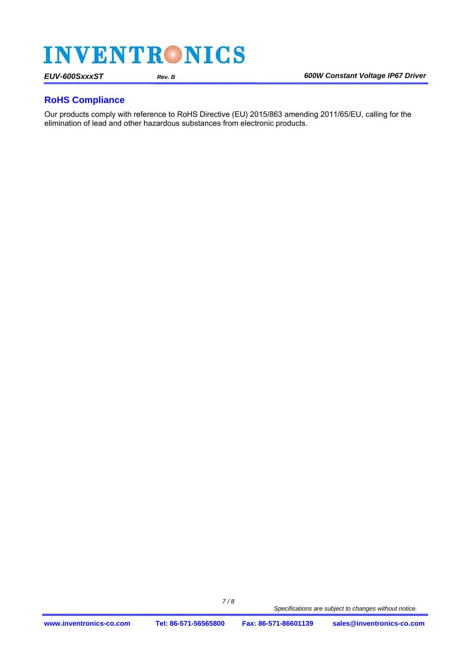#### **RoHS Compliance**

Our products comply with reference to RoHS Directive (EU) 2015/863 amending 2011/65/EU, calling for the elimination of lead and other hazardous substances from electronic products.

 *7 / 8*